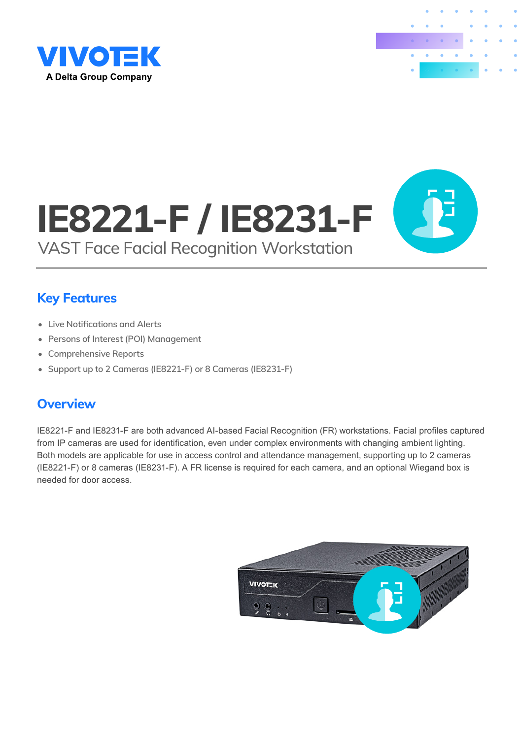



# IE8221-F / IE8231-F VAST Face Facial Recognition Workstation



- Live Notifications and Alerts
- Persons of Interest (POI) Management
- Comprehensive Reports
- Support up to 2 Cameras (IE8221-F) or 8 Cameras (IE8231-F)

### **Overview**

IE8221-F and IE8231-F are both advanced AI-based Facial Recognition (FR) workstations. Facial profiles captured from IP cameras are used for identification, even under complex environments with changing ambient lighting. Both models are applicable for use in access control and attendance management, supporting up to 2 cameras (IE8221-F) or 8 cameras (IE8231-F). A FR license is required for each camera, and an optional Wiegand box is needed for door access.

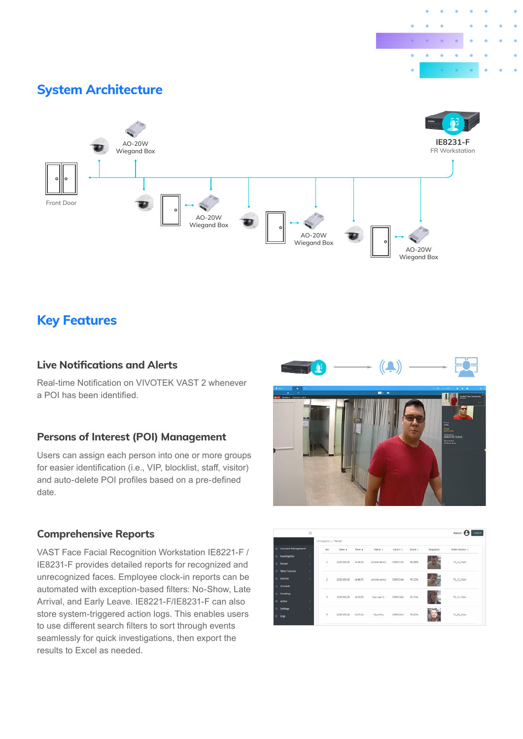

### System Architecture



### Key Features

#### Live Notifications and Alerts

Real-time Notification on VIVOTEK VAST 2 whenever a POI has been identified.

#### Persons of Interest (POI) Management

Users can assign each person into one or more groups for easier identification (i.e., VIP, blocklist, staff, visitor) and auto-delete POI profiles based on a pre-defined date.

#### Comprehensive Reports

VAST Face Facial Recognition Workstation IE8221-F / IE8231-F provides detailed reports for recognized and unrecognized faces. Employee clock-in reports can be automated with exception-based filters: No-Show, Late Arrival, and Early Leave. IE8221-F/IE8231-F can also store system-triggered action logs. This enables users to use different search filters to sort through events seamlessly for quick investigations, then export the results to Excel as needed.





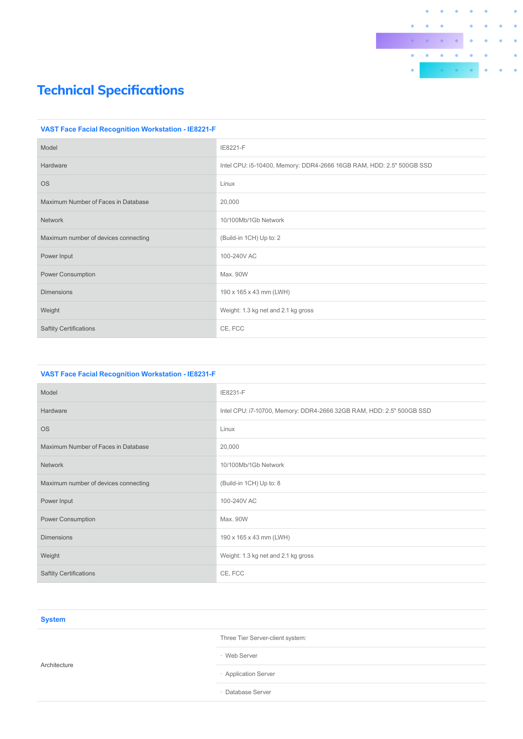

#### **VAST Face Facial Recognition Workstation - IE8221-F**

| Model                                | IE8221-F                                                             |
|--------------------------------------|----------------------------------------------------------------------|
| Hardware                             | Intel CPU: i5-10400, Memory: DDR4-2666 16GB RAM, HDD: 2.5" 500GB SSD |
| <b>OS</b>                            | Linux                                                                |
| Maximum Number of Faces in Database  | 20,000                                                               |
| <b>Network</b>                       | 10/100Mb/1Gb Network                                                 |
| Maximum number of devices connecting | (Build-in 1CH) Up to: 2                                              |
| Power Input                          | 100-240V AC                                                          |
| <b>Power Consumption</b>             | Max. 90W                                                             |
| <b>Dimensions</b>                    | 190 x 165 x 43 mm (LWH)                                              |
| Weight                               | Weight: 1.3 kg net and 2.1 kg gross                                  |
| <b>Saftity Certifications</b>        | CE, FCC                                                              |

| <b>VAST Face Facial Recognition Workstation - IE8231-F</b> |                                                                      |
|------------------------------------------------------------|----------------------------------------------------------------------|
| Model                                                      | IE8231-F                                                             |
| Hardware                                                   | Intel CPU: i7-10700, Memory: DDR4-2666 32GB RAM, HDD: 2.5" 500GB SSD |
| <b>OS</b>                                                  | Linux                                                                |
| Maximum Number of Faces in Database                        | 20,000                                                               |
| <b>Network</b>                                             | 10/100Mb/1Gb Network                                                 |
| Maximum number of devices connecting                       | (Build-in 1CH) Up to: 8                                              |
| Power Input                                                | 100-240V AC                                                          |
| <b>Power Consumption</b>                                   | Max. 90W                                                             |
| <b>Dimensions</b>                                          | 190 x 165 x 43 mm (LWH)                                              |
| Weight                                                     | Weight: 1.3 kg net and 2.1 kg gross                                  |
| <b>Saftity Certifications</b>                              | CE, FCC                                                              |
|                                                            |                                                                      |

| <b>System</b> |                                  |
|---------------|----------------------------------|
| Architecture  | Three Tier Server-client system: |
|               | · Web Server                     |
|               | · Application Server             |
|               | Database Server                  |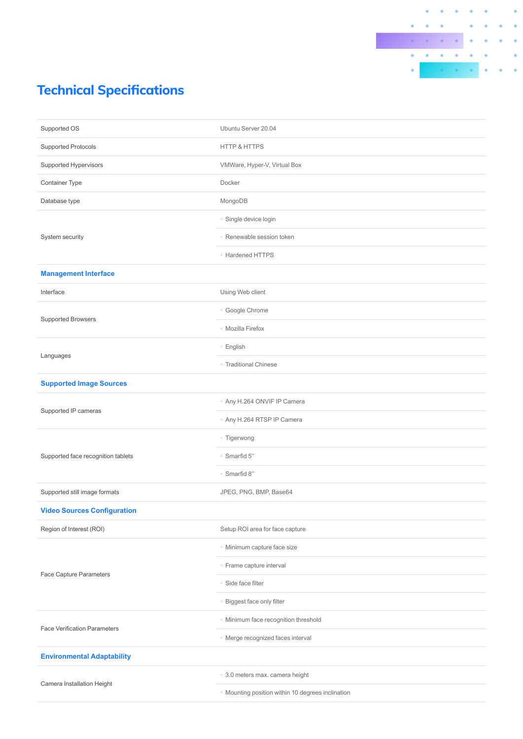

| Ubuntu Server 20.04                               |
|---------------------------------------------------|
| <b>HTTP &amp; HTTPS</b>                           |
| VMWare, Hyper-V, Virtual Box                      |
| Docker                                            |
| MongoDB                                           |
| · Single device login                             |
| · Renewable session token                         |
| · Hardened HTTPS                                  |
|                                                   |
| Using Web client                                  |
| · Google Chrome                                   |
| · Mozilla Firefox                                 |
| · English                                         |
| · Traditional Chinese                             |
|                                                   |
| · Any H.264 ONVIF IP Camera                       |
| · Any H.264 RTSP IP Camera                        |
| · Tigerwong                                       |
| $\cdot$ Smarfid 5"                                |
| · Smarfid 8"                                      |
| JPEG, PNG, BMP, Base64                            |
|                                                   |
| Setup ROI area for face capture                   |
| · Minimum capture face size                       |
| · Frame capture interval                          |
| · Side face filter                                |
| · Biggest face only filter                        |
| · Minimum face recognition threshold              |
| · Merge recognized faces interval                 |
|                                                   |
| · 3.0 meters max. camera height                   |
| · Mounting position within 10 degrees inclination |
|                                                   |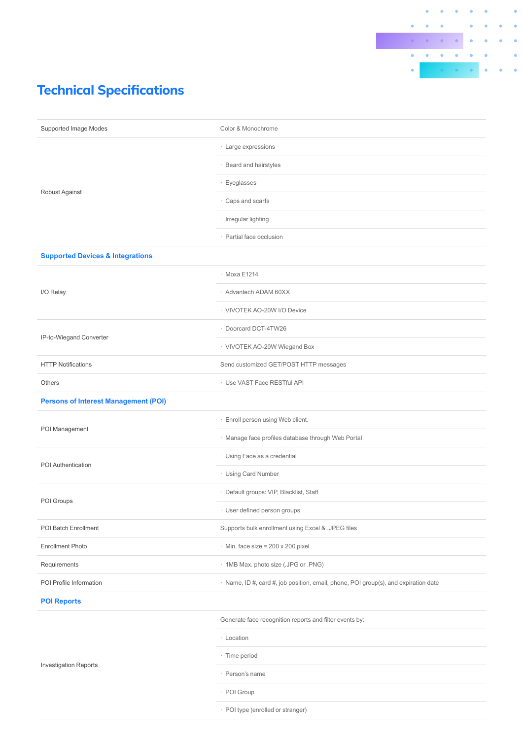

| Supported Image Modes                       | Color & Monochrome                                                                  |
|---------------------------------------------|-------------------------------------------------------------------------------------|
| Robust Against                              | · Large expressions                                                                 |
|                                             | · Beard and hairstyles                                                              |
|                                             | · Eyeglasses                                                                        |
|                                             | · Caps and scarfs                                                                   |
|                                             | · Irregular lighting                                                                |
|                                             | · Partial face occlusion                                                            |
| <b>Supported Devices &amp; Integrations</b> |                                                                                     |
|                                             | · Moxa E1214                                                                        |
| I/O Relay                                   | · Advantech ADAM 60XX                                                               |
|                                             | · VIVOTEK AO-20W I/O Device                                                         |
|                                             | · Doorcard DCT-4TW26                                                                |
| IP-to-Wiegand Converter                     | · VIVOTEK AO-20W Wiegand Box                                                        |
| <b>HTTP Notifications</b>                   | Send customized GET/POST HTTP messages                                              |
| Others                                      | · Use VAST Face RESTful API                                                         |
| <b>Persons of Interest Management (POI)</b> |                                                                                     |
|                                             | · Enroll person using Web client.                                                   |
| POI Management                              | · Manage face profiles database through Web Portal                                  |
| POI Authentication                          | · Using Face as a credential                                                        |
|                                             | · Using Card Number                                                                 |
|                                             | · Default groups: VIP, Blacklist, Staff                                             |
| POI Groups                                  | User defined person groups                                                          |
| POI Batch Enrollment                        | Supports bulk enrollment using Excel & .JPEG files                                  |
| <b>Enrollment Photo</b>                     | $\cdot$ Min. face size = 200 x 200 pixel                                            |
| Requirements                                | · 1MB Max. photo size (.JPG or .PNG)                                                |
| POI Profile Information                     | · Name, ID #, card #, job position, email, phone, POI group(s), and expiration date |
| <b>POI Reports</b>                          |                                                                                     |
| <b>Investigation Reports</b>                | Generate face recognition reports and filter events by:                             |
|                                             | · Location                                                                          |
|                                             | · Time period                                                                       |
|                                             | · Person's name                                                                     |
|                                             | · POI Group                                                                         |
|                                             | · POI type (enrolled or stranger)                                                   |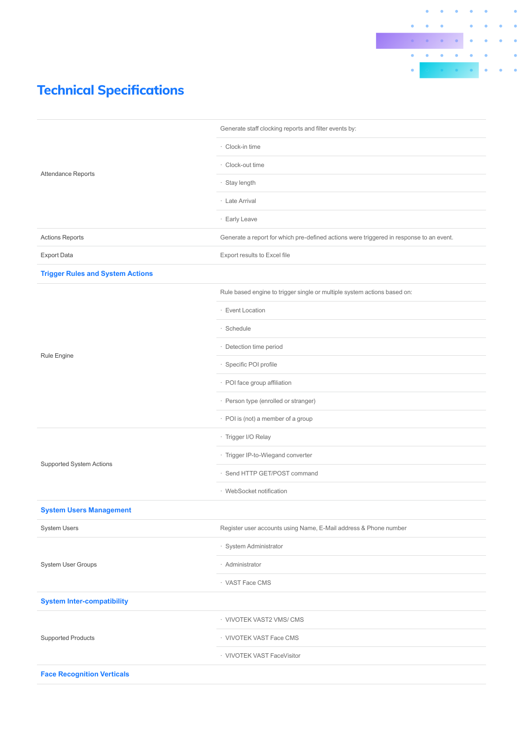

| <b>Attendance Reports</b>               | Generate staff clocking reports and filter events by:                                   |
|-----------------------------------------|-----------------------------------------------------------------------------------------|
|                                         | · Clock-in time                                                                         |
|                                         | · Clock-out time                                                                        |
|                                         | Stay length<br>٠                                                                        |
|                                         | · Late Arrival                                                                          |
|                                         | · Early Leave                                                                           |
| <b>Actions Reports</b>                  | Generate a report for which pre-defined actions were triggered in response to an event. |
| <b>Export Data</b>                      | Export results to Excel file                                                            |
| <b>Trigger Rules and System Actions</b> |                                                                                         |
|                                         | Rule based engine to trigger single or multiple system actions based on:                |
|                                         | · Event Location                                                                        |
|                                         | · Schedule                                                                              |
|                                         | · Detection time period                                                                 |
| Rule Engine                             | · Specific POI profile                                                                  |
|                                         | · POI face group affiliation                                                            |
|                                         | · Person type (enrolled or stranger)                                                    |
|                                         | · POI is (not) a member of a group                                                      |
|                                         | · Trigger I/O Relay                                                                     |
|                                         | · Trigger IP-to-Wiegand converter                                                       |
| Supported System Actions                | Send HTTP GET/POST command<br>٠                                                         |
|                                         | · WebSocket notification                                                                |
| <b>System Users Management</b>          |                                                                                         |
| <b>System Users</b>                     | Register user accounts using Name, E-Mail address & Phone number                        |
| System User Groups                      | · System Administrator                                                                  |
|                                         | · Administrator                                                                         |
|                                         | · VAST Face CMS                                                                         |
| <b>System Inter-compatibility</b>       |                                                                                         |
| <b>Supported Products</b>               | · VIVOTEK VAST2 VMS/ CMS                                                                |
|                                         | · VIVOTEK VAST Face CMS                                                                 |
|                                         | · VIVOTEK VAST FaceVisitor                                                              |
| <b>Face Recognition Verticals</b>       |                                                                                         |
|                                         |                                                                                         |